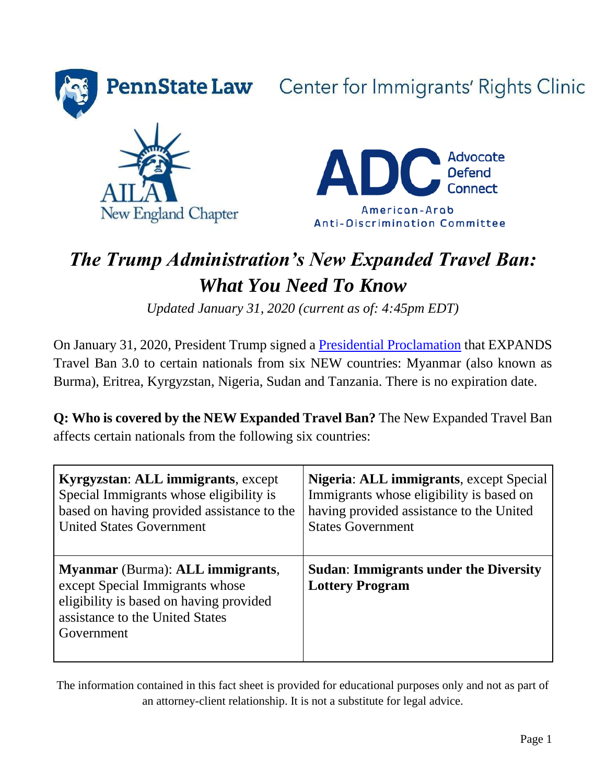

**PennState Law** Center for Immigrants' Rights Clinic





# *The Trump Administration's New Expanded Travel Ban: What You Need To Know*

*Updated January 31, 2020 (current as of: 4:45pm EDT)* 

On January 31, 2020, President Trump signed a [Presidential Proclamation](https://www.whitehouse.gov/presidential-actions/proclamation-improving-enhanced-vetting-capabilities-processes-detecting-attempted-entry/) that EXPANDS Travel Ban 3.0 to certain nationals from six NEW countries: Myanmar (also known as Burma), Eritrea, Kyrgyzstan, Nigeria, Sudan and Tanzania. There is no expiration date.

**Q: Who is covered by the NEW Expanded Travel Ban?** The New Expanded Travel Ban affects certain nationals from the following six countries:

| Kyrgyzstan: ALL immigrants, except                                                                                                                                            | Nigeria: ALL immigrants, except Special                                |
|-------------------------------------------------------------------------------------------------------------------------------------------------------------------------------|------------------------------------------------------------------------|
| Special Immigrants whose eligibility is                                                                                                                                       | Immigrants whose eligibility is based on                               |
| based on having provided assistance to the                                                                                                                                    | having provided assistance to the United                               |
| <b>United States Government</b>                                                                                                                                               | <b>States Government</b>                                               |
| <b>Myanmar</b> (Burma): <b>ALL</b> immigrants,<br>except Special Immigrants whose<br>eligibility is based on having provided<br>assistance to the United States<br>Government | <b>Sudan: Immigrants under the Diversity</b><br><b>Lottery Program</b> |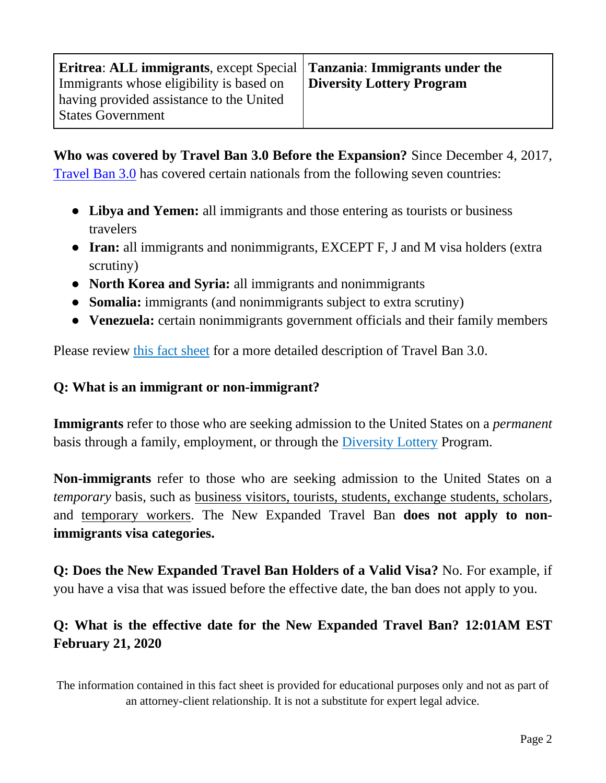| Eritrea: ALL immigrants, except Special   Tanzania: Immigrants under the |
|--------------------------------------------------------------------------|
| Diversity Lottery Program                                                |
|                                                                          |
|                                                                          |
|                                                                          |

**Who was covered by Travel Ban 3.0 Before the Expansion?** Since December 4, 2017, [Travel Ban 3.0](https://www.whitehouse.gov/presidential-actions/presidential-proclamation-enhancing-vetting-capabilities-processes-detecting-attempted-entry-united-states-terrorists-public-safety-threats/) has covered certain nationals from the following seven countries:

- **Libya and Yemen:** all immigrants and those entering as tourists or business travelers
- **Iran:** all immigrants and nonimmigrants, EXCEPT F, J and M visa holders (extra scrutiny)
- **North Korea and Syria:** all immigrants and nonimmigrants
- **Somalia:** immigrants (and nonimmigrants subject to extra scrutiny)
- **Venezuela:** certain nonimmigrants government officials and their family members

Please review [this fact sheet](https://pennstatelaw.psu.edu/sites/default/files/documents/pdfs/Immigrants/Travel%20Ban%20Supreme%20Court%20Update.pdf) for a more detailed description of Travel Ban 3.0.

#### **Q: What is an immigrant or non-immigrant?**

**Immigrants** refer to those who are seeking admission to the United States on a *permanent* basis through a family, employment, or through the [Diversity Lottery](https://www.americanimmigrationcouncil.org/research/diversity-immigrant-visa-program-overview) Program.

**Non-immigrants** refer to those who are seeking admission to the United States on a *temporary* basis, such as business visitors, tourists, students, exchange students, scholars, and temporary workers. The New Expanded Travel Ban **does not apply to nonimmigrants visa categories.**

**Q: Does the New Expanded Travel Ban Holders of a Valid Visa?** No. For example, if you have a visa that was issued before the effective date, the ban does not apply to you.

## **Q: What is the effective date for the New Expanded Travel Ban? 12:01AM EST February 21, 2020**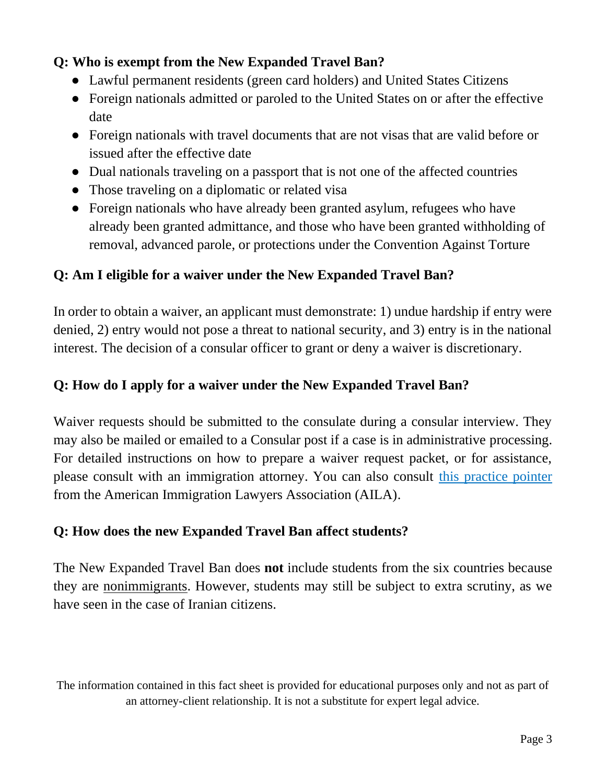## **Q: Who is exempt from the New Expanded Travel Ban?**

- Lawful permanent residents (green card holders) and United States Citizens
- Foreign nationals admitted or paroled to the United States on or after the effective date
- Foreign nationals with travel documents that are not visas that are valid before or issued after the effective date
- Dual nationals traveling on a passport that is not one of the affected countries
- Those traveling on a diplomatic or related visa
- Foreign nationals who have already been granted asylum, refugees who have already been granted admittance, and those who have been granted withholding of removal, advanced parole, or protections under the Convention Against Torture

## **Q: Am I eligible for a waiver under the New Expanded Travel Ban?**

In order to obtain a waiver, an applicant must demonstrate: 1) undue hardship if entry were denied, 2) entry would not pose a threat to national security, and 3) entry is in the national interest. The decision of a consular officer to grant or deny a waiver is discretionary.

## **Q: How do I apply for a waiver under the New Expanded Travel Ban?**

Waiver requests should be submitted to the consulate during a consular interview. They may also be mailed or emailed to a Consular post if a case is in administrative processing. For detailed instructions on how to prepare a waiver request packet, or for assistance, please consult with an immigration attorney. You can also consult [this practice pointer](https://www.aila.org/infonet/applying-for-a-waiver-pursuant-to-presidential) from the American Immigration Lawyers Association (AILA).

#### **Q: How does the new Expanded Travel Ban affect students?**

The New Expanded Travel Ban does **not** include students from the six countries because they are nonimmigrants. However, students may still be subject to extra scrutiny, as we have seen in the case of Iranian citizens.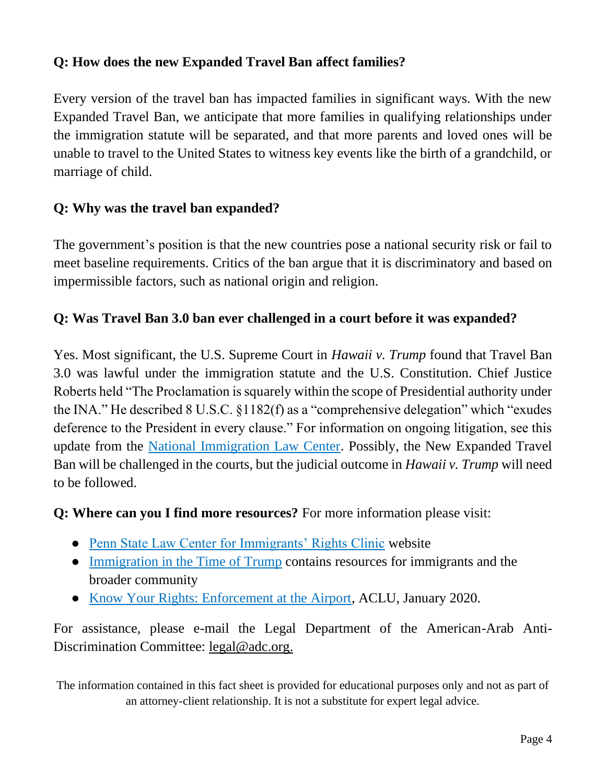## **Q: How does the new Expanded Travel Ban affect families?**

Every version of the travel ban has impacted families in significant ways. With the new Expanded Travel Ban, we anticipate that more families in qualifying relationships under the immigration statute will be separated, and that more parents and loved ones will be unable to travel to the United States to witness key events like the birth of a grandchild, or marriage of child.

## **Q: Why was the travel ban expanded?**

The government's position is that the new countries pose a national security risk or fail to meet baseline requirements. Critics of the ban argue that it is discriminatory and based on impermissible factors, such as national origin and religion.

#### **Q: Was Travel Ban 3.0 ban ever challenged in a court before it was expanded?**

Yes. Most significant, the U.S. Supreme Court in *Hawaii v. Trump* found that Travel Ban 3.0 was lawful under the immigration statute and the U.S. Constitution. Chief Justice Roberts held "The Proclamation is squarely within the scope of Presidential authority under the INA." He described 8 U.S.C. §1182(f) as a "comprehensive delegation" which "exudes deference to the President in every clause." For information on ongoing litigation, see this update from the [National Immigration Law Center.](https://www.nilc.org/issues/immigration-enforcement/muslim-ban-litigation-update/) Possibly, the New Expanded Travel Ban will be challenged in the courts, but the judicial outcome in *Hawaii v. Trump* will need to be followed.

#### **Q: Where can you I find more resources?** For more information please visit:

- [Penn State Law Center for Immigrants' Rights Clinic](https://pennstatelaw.psu.edu/practice-skills/clinics/center-immigrants-rights) website
- [Immigration in the Time of Trump](https://pennstatelaw.psu.edu/immigration-time-of-trump) contains resources for immigrants and the broader community
- [Know Your Rights: Enforcement at the Airport,](https://www.aclu.org/know-your-rights/what-do-when-encountering-law-enforcement-airports-and-other-ports-entry-us/) ACLU, January 2020.

For assistance, please e-mail the Legal Department of the American-Arab AntiDiscrimination Committee: [legal@adc.org.](mailto:legal@adc.org)